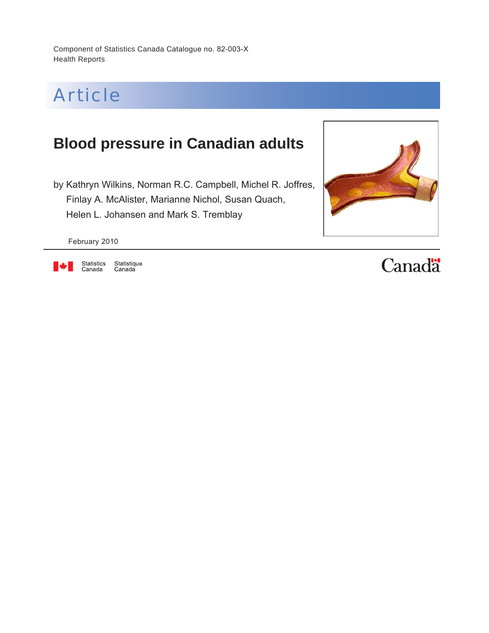Component of Statistics Canada Catalogue no. 82-003-X Health Reports



## **Blood pressure in Canadian adults**

by Kathryn Wilkins, Norman R.C. Campbell, Michel R. Joffres, Finlay A. McAlister, Marianne Nichol, Susan Quach, Helen L. Johansen and Mark S. Tremblay



February 2010



Statistique<br>Canada Statistics<br>Canada

# **Canadä**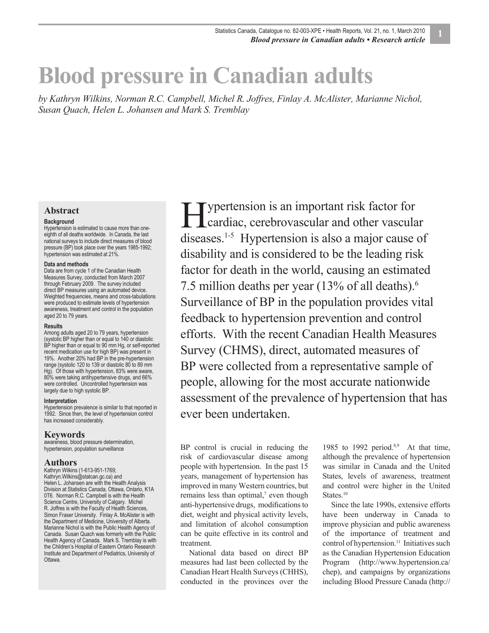# **Blood pressure in Canadian adults**

*by Kathryn Wilkins, Norman R.C. Campbell, Michel R. Joffres, Finlay A. McAlister, Marianne Nichol, Susan Quach, Helen L. Johansen and Mark S. Tremblay*

#### **Abstract**

#### **Background**

Hypertension is estimated to cause more than oneeighth of all deaths worldwide. In Canada, the last national surveys to include direct measures of blood pressure (BP) took place over the years 1985-1992; hypertension was estimated at 21%.

#### **Data and methods**

Data are from cycle 1 of the Canadian Health Measures Survey, conducted from March 2007 through February 2009. The survey included direct BP measures using an automated device. Weighted frequencies, means and cross-tabulations were produced to estimate levels of hypertension awareness, treatment and control in the population aged 20 to 79 years.

#### **Results**

Among adults aged 20 to 79 years, hypertension (systolic BP higher than or equal to 140 or diastolic BP higher than or equal to 90 mm Hg, or self-reported recent medication use for high BP) was present in 19%. Another 20% had BP in the pre-hypertension range (systolic 120 to 139 or diastolic 80 to 89 mm Hg). Of those with hypertension, 83% were aware, 80% were taking antihypertensive drugs, and 66% were controlled. Uncontrolled hypertension was largely due to high systolic BP.

#### **Interpretation**

Hypertension prevalence is similar to that reported in 1992. Since then, the level of hypertension control has increased considerably.

#### **Keywords**

awareness, blood pressure determination, hypertension, population surveillance

#### **Authors**

Kathryn Wilkins (1-613-951-1769; Kathryn.Wilkins@statcan.gc.ca) and Helen L. Johansen are with the Health Analysis Division at Statistics Canada, Ottawa, Ontario, K1A 0T6. Norman R.C. Campbell is with the Health Science Centre, University of Calgary. Michel R. Joffres is with the Faculty of Health Sciences, Simon Fraser University. Finlay A. McAlister is with the Department of Medicine, University of Alberta. Marianne Nichol is with the Public Health Agency of Canada. Susan Quach was formerly with the Public Health Agency of Canada. Mark S. Tremblay is with the Children's Hospital of Eastern Ontario Research Institute and Department of Pediatrics, University of Ottawa.

ypertension is an important risk factor for **THE EXECUTE SERVICE IS A SERVICE SERVICE SERVICE SERVICE SERVICE SERVICE SERVICE SERVICE SERVICE SERVICE SERVICE SERVICE SERVICE SERVICE SERVICE SERVICE SERVICE SERVICE SERVICE SERVICE SERVICE SERVICE SERVICE SERVICE SERV** diseases.1-5 Hypertension is also a major cause of disability and is considered to be the leading risk factor for death in the world, causing an estimated 7.5 million deaths per year (13% of all deaths).6 Surveillance of BP in the population provides vital feedback to hypertension prevention and control efforts. With the recent Canadian Health Measures Survey (CHMS), direct, automated measures of BP were collected from a representative sample of people, allowing for the most accurate nationwide assessment of the prevalence of hypertension that has ever been undertaken.

BP control is crucial in reducing the risk of cardiovascular disease among people with hypertension. In the past 15 years, management of hypertension has improved in many Western countries, but remains less than optimal, $\bar{z}$  even though anti-hypertensive drugs, modifications to diet, weight and physical activity levels, and limitation of alcohol consumption can be quite effective in its control and treatment.

National data based on direct BP measures had last been collected by the Canadian Heart Health Surveys (CHHS), conducted in the provinces over the 1985 to 1992 period. $8,9$  At that time, although the prevalence of hypertension was similar in Canada and the United States, levels of awareness, treatment and control were higher in the United States.<sup>10</sup>

Since the late 1990s, extensive efforts have been underway in Canada to improve physician and public awareness of the importance of treatment and control of hypertension.<sup>11</sup> Initiatives such as the Canadian Hypertension Education Program (http://www.hypertension.ca/ chep), and campaigns by organizations including Blood Pressure Canada (http://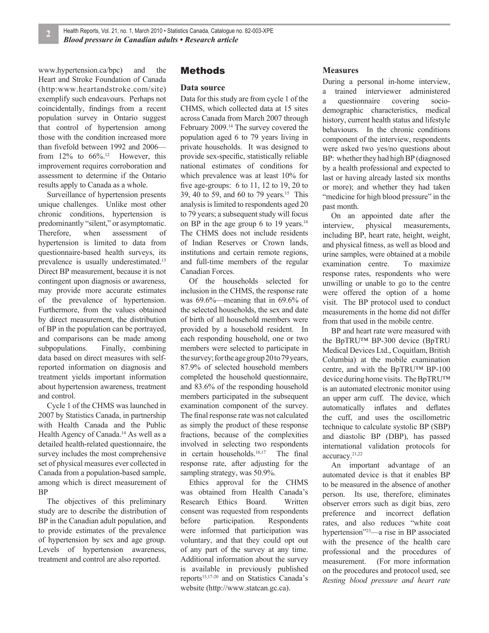www.hypertension.ca/bpc) and the Heart and Stroke Foundation of Canada (http:www.heartandstroke.com/site) exemplify such endeavours. Perhaps not coincidentally, findings from a recent population survey in Ontario suggest that control of hypertension among those with the condition increased more than fivefold between 1992 and 2006 from  $12\%$  to  $66\%$ .<sup>12</sup> However, this improvement requires corroboration and assessment to determine if the Ontario results apply to Canada as a whole.

Surveillance of hypertension presents unique challenges. Unlike most other chronic conditions, hypertension is predominantly "silent," or asymptomatic. Therefore, when assessment of hypertension is limited to data from questionnaire-based health surveys, its prevalence is usually underestimated.13 Direct BP measurement, because it is not contingent upon diagnosis or awareness, may provide more accurate estimates of the prevalence of hypertension. Furthermore, from the values obtained by direct measurement, the distribution of BP in the population can be portrayed, and comparisons can be made among subpopulations. Finally, combining data based on direct measures with selfreported information on diagnosis and treatment yields important information about hypertension awareness, treatment and control.

Cycle 1 of the CHMS was launched in 2007 by Statistics Canada, in partnership with Health Canada and the Public Health Agency of Canada.14 As well as a detailed health-related questionnaire, the survey includes the most comprehensive set of physical measures ever collected in Canada from a population-based sample, among which is direct measurement of BP

The objectives of this preliminary study are to describe the distribution of BP in the Canadian adult population, and to provide estimates of the prevalence of hypertension by sex and age group. Levels of hypertension awareness, treatment and control are also reported.

#### Methods

#### **Data source**

Data for this study are from cycle 1 of the CHMS, which collected data at 15 sites across Canada from March 2007 through February 2009.14 The survey covered the population aged 6 to 79 years living in private households. It was designed to provide sex-specific, statistically reliable national estimates of conditions for which prevalence was at least 10% for five age-groups:  $6$  to 11, 12 to 19, 20 to 39, 40 to 59, and 60 to 79 years.15 This analysis is limited to respondents aged 20 to 79 years; a subsequent study will focus on BP in the age group 6 to 19 years.<sup>16</sup> The CHMS does not include residents of Indian Reserves or Crown lands, institutions and certain remote regions, and full-time members of the regular Canadian Forces.

Of the households selected for inclusion in the CHMS, the response rate was 69.6%—meaning that in 69.6% of the selected households, the sex and date of birth of all household members were provided by a household resident. In each responding household, one or two members were selected to participate in the survey; for the age group 20 to 79 years, 87.9% of selected household members completed the household questionnaire, and 83.6% of the responding household members participated in the subsequent examination component of the survey. The final response rate was not calculated as simply the product of these response fractions, because of the complexities involved in selecting two respondents in certain households. $16,17$  The final response rate, after adjusting for the sampling strategy, was 50.9%.

Ethics approval for the CHMS was obtained from Health Canada's Research Ethics Board. Written consent was requested from respondents before participation. Respondents were informed that participation was voluntary, and that they could opt out of any part of the survey at any time. Additional information about the survey is available in previously published reports<sup>15,17-20</sup> and on Statistics Canada's website (http://www.statcan.gc.ca).

#### **Measures**

During a personal in-home interview, a trained interviewer administered a questionnaire covering sociodemographic characteristics, medical history, current health status and lifestyle behaviours. In the chronic conditions component of the interview, respondents were asked two yes/no questions about BP: whether they had high BP (diagnosed by a health professional and expected to last or having already lasted six months or more); and whether they had taken "medicine for high blood pressure" in the past month.

On an appointed date after the interview, physical measurements, including BP, heart rate, height, weight, and physical fitness, as well as blood and urine samples, were obtained at a mobile examination centre. To maximize response rates, respondents who were unwilling or unable to go to the centre were offered the option of a home visit. The BP protocol used to conduct measurements in the home did not differ from that used in the mobile centre.

BP and heart rate were measured with the BpTRU™ BP-300 device (BpTRU Medical Devices Ltd., Coquitlam, British Columbia) at the mobile examination centre, and with the BpTRU™ BP-100 device during home visits. The BpTRU™ is an automated electronic monitor using an upper arm cuff. The device, which automatically inflates and deflates the cuff, and uses the oscillometric technique to calculate systolic BP (SBP) and diastolic BP (DBP), has passed international validation protocols for accuracy.21,22

An important advantage of an automated device is that it enables BP to be measured in the absence of another person. Its use, therefore, eliminates observer errors such as digit bias, zero preference and incorrect deflation rates, and also reduces "white coat hypertension"23—a rise in BP associated with the presence of the health care professional and the procedures of measurement. (For more information on the procedures and protocol used, see *Resting blood pressure and heart rate*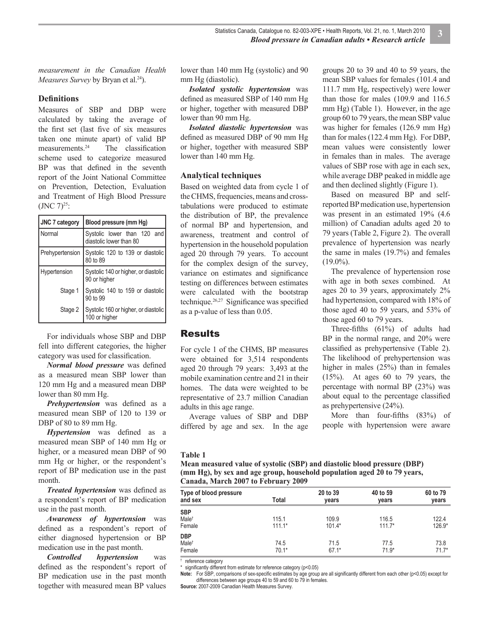*measurement in the Canadian Health Measures Survey* by Bryan et al.<sup>24</sup>).

#### **Defi nitions**

Measures of SBP and DBP were calculated by taking the average of the first set (last five of six measures taken one minute apart) of valid BP measurements. $24$  The classification scheme used to categorize measured BP was that defined in the seventh report of the Joint National Committee on Prevention, Detection, Evaluation and Treatment of High Blood Pressure  $(JNC 7)^{25}$ :

| <b>JNC 7 category</b> | Blood pressure (mm Hg)                                 |  |  |  |  |  |
|-----------------------|--------------------------------------------------------|--|--|--|--|--|
| Normal                | Systolic lower than 120 and<br>diastolic lower than 80 |  |  |  |  |  |
| Prehypertension       | Systolic 120 to 139 or diastolic<br>80 to 89           |  |  |  |  |  |
| Hypertension          | Systolic 140 or higher, or diastolic<br>90 or higher   |  |  |  |  |  |
| Stage 1               | Systolic 140 to 159 or diastolic<br>90 to 99           |  |  |  |  |  |
| Stage 2               | Systolic 160 or higher, or diastolic<br>100 or higher  |  |  |  |  |  |

For individuals whose SBP and DBP fell into different categories, the higher category was used for classification.

*Normal blood pressure* was defined as a measured mean SBP lower than 120 mm Hg and a measured mean DBP lower than 80 mm Hg.

*Prehypertension* was defined as a measured mean SBP of 120 to 139 or DBP of 80 to 89 mm Hg.

*Hypertension* was defined as a measured mean SBP of 140 mm Hg or higher, or a measured mean DBP of 90 mm Hg or higher, or the respondent's report of BP medication use in the past month.

*Treated hypertension* was defined as a respondent's report of BP medication use in the past month.

*Awareness of hypertension* was defined as a respondent's report of either diagnosed hypertension or BP medication use in the past month.

*Controlled hypertension* was defined as the respondent's report of BP medication use in the past month together with measured mean BP values

lower than 140 mm Hg (systolic) and 90 mm Hg (diastolic).

*Isolated systolic hypertension* was defined as measured SBP of 140 mm Hg or higher, together with measured DBP lower than 90 mm Hg.

*Isolated diastolic hypertension* was defined as measured DBP of 90 mm Hg or higher, together with measured SBP lower than 140 mm Hg.

#### **Analytical techniques**

Based on weighted data from cycle 1 of the CHMS, frequencies, means and crosstabulations were produced to estimate the distribution of BP, the prevalence of normal BP and hypertension, and awareness, treatment and control of hypertension in the household population aged 20 through 79 years. To account for the complex design of the survey, variance on estimates and significance testing on differences between estimates were calculated with the bootstrap technique.<sup>26,27</sup> Significance was specified as a p-value of less than 0.05.

#### Results

For cycle 1 of the CHMS, BP measures were obtained for 3,514 respondents aged 20 through 79 years: 3,493 at the mobile examination centre and 21 in their homes. The data were weighted to be representative of 23.7 million Canadian adults in this age range.

Average values of SBP and DBP differed by age and sex. In the age groups 20 to 39 and 40 to 59 years, the mean SBP values for females (101.4 and 111.7 mm Hg, respectively) were lower than those for males (109.9 and 116.5 mm Hg) (Table 1). However, in the age group 60 to 79 years, the mean SBP value was higher for females (126.9 mm Hg) than for males (122.4 mm Hg). For DBP, mean values were consistently lower in females than in males. The average values of SBP rose with age in each sex, while average DBP peaked in middle age and then declined slightly (Figure 1).

Based on measured BP and selfreported BP medication use, hypertension was present in an estimated 19% (4.6 million) of Canadian adults aged 20 to 79 years (Table 2, Figure 2). The overall prevalence of hypertension was nearly the same in males (19.7%) and females  $(19.0\%)$ .

The prevalence of hypertension rose with age in both sexes combined. At ages 20 to 39 years, approximately 2% had hypertension, compared with 18% of those aged 40 to 59 years, and 53% of those aged 60 to 79 years.

Three-fifths  $(61\%)$  of adults had BP in the normal range, and 20% were classified as prehypertensive (Table 2). The likelihood of prehypertension was higher in males (25%) than in females (15%). At ages 60 to 79 years, the percentage with normal BP (23%) was about equal to the percentage classified as prehypertensive (24%).

More than four-fifths  $(83%)$  of people with hypertension were aware

#### **Table 1**

| Mean measured value of systolic (SBP) and diastolic blood pressure (DBP) |
|--------------------------------------------------------------------------|
| (mm Hg), by sex and age group, household population aged 20 to 79 years, |
| Canada, March 2007 to February 2009                                      |

| Type of blood pressure<br>and sex         | Total             | 20 to 39<br>years | 40 to 59<br>years | 60 to 79<br>years |
|-------------------------------------------|-------------------|-------------------|-------------------|-------------------|
| <b>SBP</b><br>Male <sup>t</sup><br>Female | 115.1<br>$111.1*$ | 109.9<br>$101.4*$ | 116.5<br>$111.7*$ | 122.4<br>126.9*   |
| <b>DBP</b><br>Male <sup>t</sup><br>Female | 74.5<br>$70.1*$   | 71.5<br>$67.1*$   | 77.5<br>$71.9*$   | 73.8<br>$71.7*$   |

† reference category

significantly different from estimate for reference category (p<0.05)

Note: For SBP, comparisons of sex-specific estimates by age group are all significantly different from each other (p<0.05) except for differences between age groups 40 to 59 and 60 to 79 in females.

**Source:** 2007-2009 Canadian Health Measures Survey.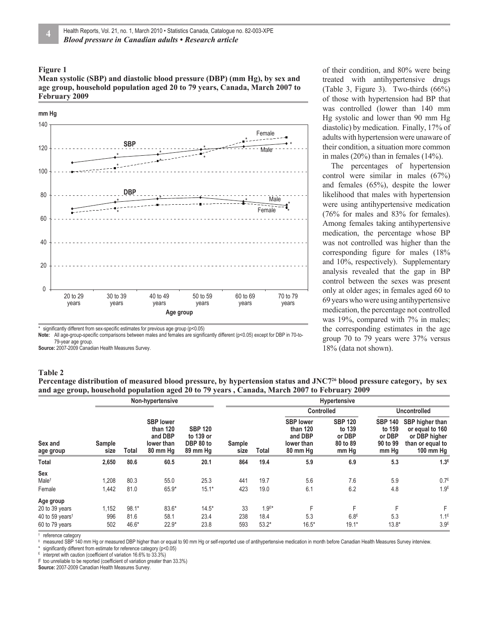**Mean systolic (SBP) and diastolic blood pressure (DBP) (mm Hg), by sex and age group, household population aged 20 to 79 years, Canada, March 2007 to February 2009**



Note: All age-group-specific comparisons between males and females are significantly different (p<0.05) except for DBP in 70-to-

79-year age group.

**Source:** 2007-2009 Canadian Health Measures Survey.

#### **Table 2**

**Percentage distribution of measured blood pressure, by hypertension status and JNC726 blood pressure category, by sex and age group, household population aged 20 to 79 years , Canada, March 2007 to February 2009**

|                                                                                           |                     | Non-hypertensive           |                                                                   |                                                      |                  | Hypertensive               |                                                                   |                                                         |                                                         |                                                                                        |  |
|-------------------------------------------------------------------------------------------|---------------------|----------------------------|-------------------------------------------------------------------|------------------------------------------------------|------------------|----------------------------|-------------------------------------------------------------------|---------------------------------------------------------|---------------------------------------------------------|----------------------------------------------------------------------------------------|--|
|                                                                                           |                     |                            |                                                                   |                                                      | Sample<br>size   |                            | <b>Controlled</b>                                                 |                                                         | <b>Uncontrolled</b>                                     |                                                                                        |  |
| Sex and<br>age group                                                                      | Sample<br>size      | Total                      | <b>SBP lower</b><br>than 120<br>and DBP<br>lower than<br>80 mm Hg | <b>SBP 120</b><br>to 139 or<br>DBP 80 to<br>89 mm Hg |                  | Total                      | <b>SBP</b> lower<br>than 120<br>and DBP<br>lower than<br>80 mm Hg | <b>SBP 120</b><br>to 139<br>or DBP<br>80 to 89<br>mm Hg | <b>SBP 140</b><br>to 159<br>or DBP<br>90 to 99<br>mm Hg | SBP higher than<br>or equal to 160<br>or DBP higher<br>than or equal to<br>100 mm $Hg$ |  |
| Total                                                                                     | 2,650               | 80.6                       | 60.5                                                              | 20.1                                                 | 864              | 19.4                       | 5.9                                                               | 6.9                                                     | 5.3                                                     | 1.3 <sup>E</sup>                                                                       |  |
| Sex<br>Male <sup>t</sup><br>Female                                                        | 1,208<br>1,442      | 80.3<br>81.0               | 55.0<br>65.9*                                                     | 25.3<br>$15.1*$                                      | 441<br>423       | 19.7<br>19.0               | 5.6<br>6.1                                                        | 7.6<br>6.2                                              | 5.9<br>4.8                                              | 0.7 <sup>E</sup><br>1.9 <sup>E</sup>                                                   |  |
| Age group<br>20 to 39 years<br>40 to 59 years <sup><math>†</math></sup><br>60 to 79 years | 1,152<br>996<br>502 | $98.1*$<br>81.6<br>$46.6*$ | 83.6*<br>58.1<br>$22.9*$                                          | $14.5*$<br>23.4<br>23.8                              | 33<br>238<br>593 | $1.9E*$<br>18.4<br>$53.2*$ | F<br>5.3<br>$16.5*$                                               | F<br>6.8 <sup>E</sup><br>$19.1*$                        | F<br>5.3<br>$13.8*$                                     | F<br>$1.1^E$<br>3.9 <sup>E</sup>                                                       |  |

† reference category

measured SBP 140 mm Hg or measured DBP higher than or equal to 90 mm Hg or self-reported use of antihypertensive medication in month before Canadian Health Measures Survey interview.

significantly different from estimate for reference category (p<0.05)

 $E$  interpret with caution (coefficient of variation 16.6% to 33.3%)

F too unreliable to be reported (coefficient of variation greater than 33.3%)

**Source:** 2007-2009 Canadian Health Measures Survey.

of their condition, and 80% were being treated with antihypertensive drugs (Table 3, Figure 3). Two-thirds (66%) of those with hypertension had BP that was controlled (lower than 140 mm Hg systolic and lower than 90 mm Hg diastolic) by medication. Finally, 17% of adults with hypertension were unaware of their condition, a situation more common in males  $(20\%)$  than in females  $(14\%)$ .

The percentages of hypertension control were similar in males (67%) and females (65%), despite the lower likelihood that males with hypertension were using antihypertensive medication (76% for males and 83% for females). Among females taking antihypertensive medication, the percentage whose BP was not controlled was higher than the corresponding figure for males  $(18\%$ and 10%, respectively). Supplementary analysis revealed that the gap in BP control between the sexes was present only at older ages; in females aged 60 to 69 years who were using antihypertensive medication, the percentage not controlled was 19%, compared with 7% in males; the corresponding estimates in the age group 70 to 79 years were 37% versus 18% (data not shown).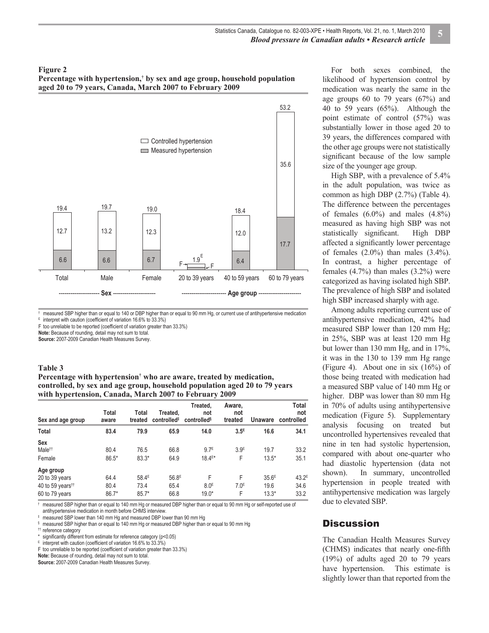**Percentage with hypertension,† by sex and age group, household population aged 20 to 79 years, Canada, March 2007 to February 2009**



† measured SBP higher than or equal to 140 or DBP higher than or equal to 90 mm Hg, or current use of antihypertensive medication<br><sup>E</sup> interpret with caution (coefficient of variation 16.6% to 33.3%)  $E$  interpret with caution (coefficient of variation 16.6% to 33.3%)

F too unreliable to be reported (coefficient of variation greater than 33.3%)

**Note:** Because of rounding, detail may not sum to total.

**Source:** 2007-2009 Canadian Health Measures Survey.

#### **Table 3**

Percentage with hypertension<sup>†</sup> who are aware, treated by medication, **controlled, by sex and age group, household population aged 20 to 79 years with hypertension, Canada, March 2007 to February 2009**

| Sex and age group                                                             | Total<br>aware          | Total<br>treated                     | Treated,<br>controlled <sup>#</sup> | Treated,<br>not<br>controlled <sup>§</sup> | Aware,<br>not<br>treated   | <b>Unaware</b>                       | Total<br>not<br>controlled        |
|-------------------------------------------------------------------------------|-------------------------|--------------------------------------|-------------------------------------|--------------------------------------------|----------------------------|--------------------------------------|-----------------------------------|
| Total                                                                         | 83.4                    | 79.9                                 | 65.9                                | 14.0                                       | $3.5^{\text{E}}$           | 16.6                                 | 34.1                              |
| Sex<br>Male <sup>tt</sup><br>Female                                           | 80.4<br>$86.5*$         | 76.5<br>$83.3*$                      | 66.8<br>64.9                        | 9.7 <sup>E</sup><br>$18.4E*$               | 3.9 <sup>E</sup><br>F      | 19.7<br>$13.5*$                      | 33.2<br>35.1                      |
| Age group<br>20 to 39 years<br>40 to 59 years <sup>11</sup><br>60 to 79 years | 64.4<br>80.4<br>$86.7*$ | 58.4 <sup>E</sup><br>73.4<br>$85.7*$ | 56.8 <sup>E</sup><br>65.4<br>66.8   | F<br>8.0 <sup>E</sup><br>$19.0*$           | F<br>7.0 <sup>E</sup><br>F | 35.6 <sup>E</sup><br>19.6<br>$13.3*$ | 43.2 <sup>E</sup><br>34.6<br>33.2 |

† measured SBP higher than or equal to 140 mm Hg or measured DBP higher than or equal to 90 mm Hg or self-reported use of antihypertensive medication in month before CHMS interview.

‡ measured SBP lower than 140 mm Hg and measured DBP lower than 90 mm Hg

 $\,$  measured SBP higher than or equal to 140 mm Hg or measured DBP higher than or equal to 90 mm Hg

†† reference category

significantly different from estimate for reference category (p<0.05)

interpret with caution (coefficient of variation 16.6% to 33.3%)

F too unreliable to be reported (coefficient of variation greater than 33.3%)

**Note:** Because of rounding, detail may not sum to total.

**Source:** 2007-2009 Canadian Health Measures Survey.

For both sexes combined, the likelihood of hypertension control by medication was nearly the same in the age groups 60 to 79 years (67%) and 40 to 59 years (65%). Although the point estimate of control (57%) was substantially lower in those aged 20 to 39 years, the differences compared with the other age groups were not statistically significant because of the low sample size of the younger age group.

High SBP, with a prevalence of 5.4% in the adult population, was twice as common as high DBP (2.7%) (Table 4). The difference between the percentages of females  $(6.0\%)$  and males  $(4.8\%)$ measured as having high SBP was not statistically significant. High DBP affected a significantly lower percentage of females  $(2.0\%)$  than males  $(3.4\%)$ . In contrast, a higher percentage of females  $(4.7\%)$  than males  $(3.2\%)$  were categorized as having isolated high SBP. The prevalence of high SBP and isolated high SBP increased sharply with age.

Among adults reporting current use of antihypertensive medication, 42% had measured SBP lower than 120 mm Hg; in 25%, SBP was at least 120 mm Hg but lower than 130 mm Hg, and in 17%, it was in the 130 to 139 mm Hg range (Figure 4). About one in six (16%) of those being treated with medication had a measured SBP value of 140 mm Hg or higher. DBP was lower than 80 mm Hg in 70% of adults using antihypertensive medication (Figure 5). Supplementary analysis focusing on treated but uncontrolled hypertensives revealed that nine in ten had systolic hypertension, compared with about one-quarter who had diastolic hypertension (data not shown). In summary, uncontrolled hypertension in people treated with antihypertensive medication was largely due to elevated SBP.

#### **Discussion**

The Canadian Health Measures Survey (CHMS) indicates that nearly one-fifth (19%) of adults aged 20 to 79 years have hypertension. This estimate is slightly lower than that reported from the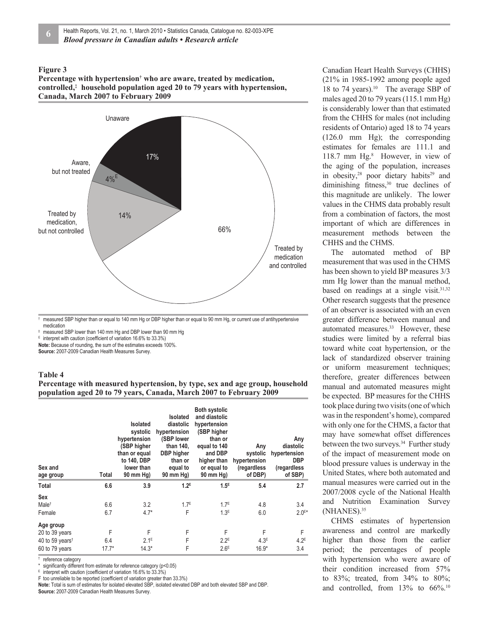Percentage with hypertension<sup>†</sup> who are aware, treated by medication, **controlled,‡ household population aged 20 to 79 years with hypertension, Canada, March 2007 to February 2009**



† measured SBP higher than or equal to 140 mm Hg or DBP higher than or equal to 90 mm Hg, or current use of antihypertensive medication

measured SBP lower than 140 mm Hg and DBP lower than 90 mm Hg

 $E$  interpret with caution (coefficient of variation 16.6% to 33.3%)

**Note:** Because of rounding, the sum of the estimates exceeds 100%.

**Source:** 2007-2009 Canadian Health Measures Survey.

#### **Table 4**

#### **Percentage with measured hypertension, by type, sex and age group, household population aged 20 to 79 years, Canada, March 2007 to February 2009**

| Sex and<br>age group                                                         | Total               | <b>Isolated</b><br>systolic<br>hypertension<br>(SBP higher<br>than or equal<br>to 140, DBP<br>lower than<br>90 mm Hg) | Isolated<br>diastolic<br>hypertension<br>(SBP lower<br>than 140.<br><b>DBP</b> higher<br>than or<br>equal to<br>90 mm Hg) | <b>Both systolic</b><br>and diastolic<br>hypertension<br>(SBP higher<br>than or<br>equal to 140<br>and DBP<br>higher than<br>or equal to<br>90 mm Hg) | Any<br>systolic<br>hypertension<br>(regardless<br>of DBP) | Any<br>diastolic<br>hypertension<br><b>DBP</b><br>(regardless<br>of SBP) |
|------------------------------------------------------------------------------|---------------------|-----------------------------------------------------------------------------------------------------------------------|---------------------------------------------------------------------------------------------------------------------------|-------------------------------------------------------------------------------------------------------------------------------------------------------|-----------------------------------------------------------|--------------------------------------------------------------------------|
| Total                                                                        | 6.6                 | 3.9                                                                                                                   | $1.2^E$                                                                                                                   | 1.5 <sup>E</sup>                                                                                                                                      | 5.4                                                       | 2.7                                                                      |
| <b>Sex</b><br>Male <sup>t</sup><br>Female                                    | 6.6<br>6.7          | 3.2<br>$4.7*$                                                                                                         | 1.7 <sup>E</sup><br>F                                                                                                     | 1.7 <sup>E</sup><br>1.3 <sup>E</sup>                                                                                                                  | 4.8<br>6.0                                                | 3.4<br>$2.0^{E*}$                                                        |
| Age group<br>20 to 39 years<br>40 to 59 years <sup>t</sup><br>60 to 79 years | F<br>6.4<br>$17.7*$ | F<br>$2.1^E$<br>$14.3*$                                                                                               | F<br>F<br>F                                                                                                               | F<br>$2.2^E$<br>2.6E                                                                                                                                  | F<br>4.3 <sup>E</sup><br>$16.9*$                          | F<br>$4.2^E$<br>3.4                                                      |

† reference category

\* significantly different from estimate for reference category (p<0.05)

E interpret with caution (coefficient of variation  $16.6\%$  to  $33.3\%$ )

 $F$  too unreliable to be reported (coefficient of variation greater than 33.3%) **Note:** Total is sum of estimates for isolated elevated SBP, isolated elevated DBP and both elevated SBP and DBP.

**Source:** 2007-2009 Canadian Health Measures Survey.

Canadian Heart Health Surveys (CHHS) (21% in 1985-1992 among people aged 18 to 74 years).<sup>10</sup> The average SBP of males aged 20 to 79 years (115.1 mm Hg) is considerably lower than that estimated from the CHHS for males (not including residents of Ontario) aged 18 to 74 years (126.0 mm Hg); the corresponding estimates for females are 111.1 and 118.7 mm Hg.<sup>8</sup> However, in view of the aging of the population, increases in obesity, $28$  poor dietary habits $29$  and diminishing fitness, $30$  true declines of this magnitude are unlikely. The lower values in the CHMS data probably result from a combination of factors, the most important of which are differences in measurement methods between the CHHS and the CHMS.

The automated method of BP measurement that was used in the CHMS has been shown to yield BP measures 3/3 mm Hg lower than the manual method, based on readings at a single visit. $31,32$ Other research suggests that the presence of an observer is associated with an even greater difference between manual and automated measures.<sup>33</sup> However, these studies were limited by a referral bias toward white coat hypertension, or the lack of standardized observer training or uniform measurement techniques; therefore, greater differences between manual and automated measures might be expected. BP measures for the CHHS took place during two visits (one of which was in the respondent's home), compared with only one for the CHMS, a factor that may have somewhat offset differences between the two surveys.<sup>34</sup> Further study of the impact of measurement mode on blood pressure values is underway in the United States, where both automated and manual measures were carried out in the 2007/2008 cycle of the National Health and Nutrition Examination Survey (NHANES).<sup>35</sup>

CHMS estimates of hypertension awareness and control are markedly higher than those from the earlier period; the percentages of people with hypertension who were aware of their condition increased from 57% to 83%; treated, from 34% to 80%; and controlled, from  $13\%$  to  $66\%$ .<sup>10</sup>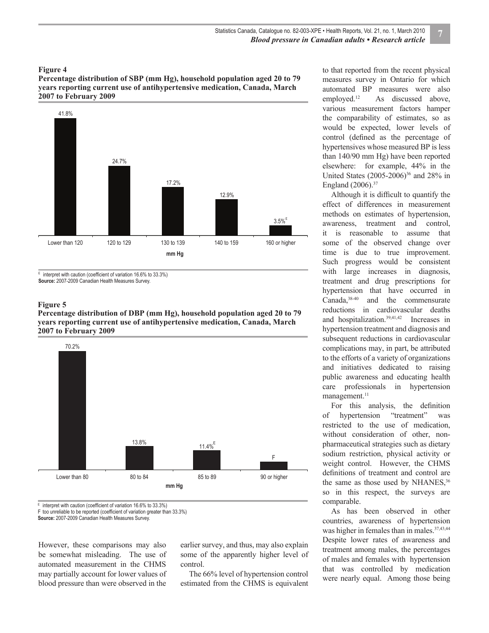**Percentage distribution of SBP (mm Hg), household population aged 20 to 79 years reporting current use of antihypertensive medication, Canada, March 2007 to February 2009**



 $E$  interpret with caution (coefficient of variation 16.6% to 33.3%)

**Source:** 2007-2009 Canadian Health Measures Survey.

#### **Figure 5**

**Percentage distribution of DBP (mm Hg), household population aged 20 to 79 years reporting current use of antihypertensive medication, Canada, March 2007 to February 2009**



 $E$  interpret with caution (coefficient of variation 16.6% to 33.3%) F too unreliable to be reported (coefficient of variation greater than 33.3%)

**Source:** 2007-2009 Canadian Health Measures Survey.

However, these comparisons may also be somewhat misleading. The use of automated measurement in the CHMS may partially account for lower values of blood pressure than were observed in the

earlier survey, and thus, may also explain some of the apparently higher level of control.

The 66% level of hypertension control estimated from the CHMS is equivalent to that reported from the recent physical measures survey in Ontario for which automated BP measures were also employed.12 As discussed above, various measurement factors hamper the comparability of estimates, so as would be expected, lower levels of control (defined as the percentage of hypertensives whose measured BP is less than 140/90 mm Hg) have been reported elsewhere: for example, 44% in the United States (2005-2006)<sup>36</sup> and 28% in England (2006).<sup>37</sup>

Although it is difficult to quantify the effect of differences in measurement methods on estimates of hypertension, awareness, treatment and control, it is reasonable to assume that some of the observed change over time is due to true improvement. Such progress would be consistent with large increases in diagnosis, treatment and drug prescriptions for hypertension that have occurred in Canada,38-40 and the commensurate reductions in cardiovascular deaths and hospitalization.39,41,42 Increases in hypertension treatment and diagnosis and subsequent reductions in cardiovascular complications may, in part, be attributed to the efforts of a variety of organizations and initiatives dedicated to raising public awareness and educating health care professionals in hypertension management.<sup>11</sup>

For this analysis, the definition of hypertension "treatment" was restricted to the use of medication, without consideration of other, nonpharmaceutical strategies such as dietary sodium restriction, physical activity or weight control. However, the CHMS definitions of treatment and control are the same as those used by NHANES,<sup>36</sup> so in this respect, the surveys are comparable.

As has been observed in other countries, awareness of hypertension was higher in females than in males.<sup>37,43,44</sup> Despite lower rates of awareness and treatment among males, the percentages of males and females with hypertension that was controlled by medication were nearly equal. Among those being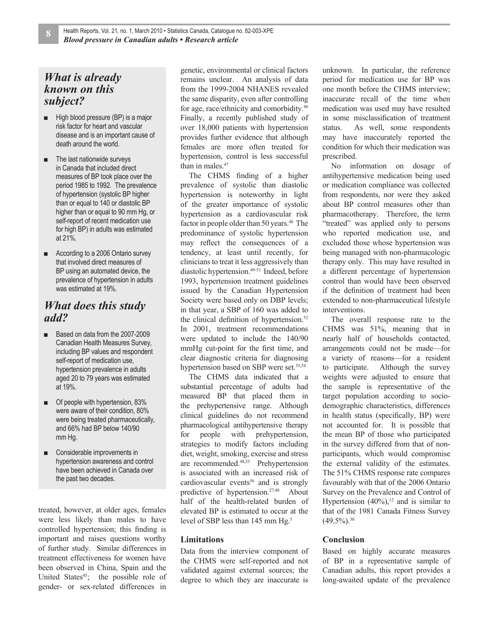## *What is already known on this subject?*

- **■** High blood pressure (BP) is a major risk factor for heart and vascular disease and is an important cause of death around the world.
- **■** The last nationwide surveys in Canada that included direct measures of BP took place over the period 1985 to 1992. The prevalence of hypertension (systolic BP higher than or equal to 140 or diastolic BP higher than or equal to 90 mm Hg, or self-report of recent medication use for high BP) in adults was estimated at 21%.
- **■** According to a 2006 Ontario survey that involved direct measures of BP using an automated device, the prevalence of hypertension in adults was estimated at 19%.

### *What does this study add?*

- Based on data from the 2007-2009 Canadian Health Measures Survey, including BP values and respondent self-report of medication use, hypertension prevalence in adults aged 20 to 79 years was estimated at 19%.
- Of people with hypertension, 83% were aware of their condition, 80% were being treated pharmaceutically, and 66% had BP below 140/90 mm Hg.
- Considerable improvements in hypertension awareness and control have been achieved in Canada over the past two decades.

treated, however, at older ages, females were less likely than males to have controlled hypertension; this finding is important and raises questions worthy of further study. Similar differences in treatment effectiveness for women have been observed in China, Spain and the United States<sup>45</sup>; the possible role of gender- or sex-related differences in

genetic, environmental or clinical factors remains unclear. An analysis of data from the 1999-2004 NHANES revealed the same disparity, even after controlling for age, race/ethnicity and comorbidity.46 Finally, a recently published study of over 18,000 patients with hypertension provides further evidence that although females are more often treated for hypertension, control is less successful than in males.<sup>47</sup>

The CHMS finding of a higher prevalence of systolic than diastolic hypertension is noteworthy in light of the greater importance of systolic hypertension as a cardiovascular risk factor in people older than 50 years.<sup>48</sup> The predominance of systolic hypertension may reflect the consequences of a tendency, at least until recently, for clinicians to treat it less aggressively than diastolic hypertension.<sup>49-51</sup> Indeed, before 1993, hypertension treatment guidelines issued by the Canadian Hypertension Society were based only on DBP levels; in that year, a SBP of 160 was added to the clinical definition of hypertension. $52$ In 2001, treatment recommendations were updated to include the 140/90 mmHg cut-point for the first time, and clear diagnostic criteria for diagnosing hypertension based on SBP were set.<sup>53,54</sup>

The CHMS data indicated that a substantial percentage of adults had measured BP that placed them in the prehypertensive range. Although clinical guidelines do not recommend pharmacological antihypertensive therapy for people with prehypertension, strategies to modify factors including diet, weight, smoking, exercise and stress are recommended.48,55 Prehypertension is associated with an increased risk of cardiovascular events<sup>56</sup> and is strongly predictive of hypertension.27,48 About half of the health-related burden of elevated BP is estimated to occur at the level of SBP less than 145 mm Hg.<sup>5</sup>

#### **Limitations**

Data from the interview component of the CHMS were self-reported and not validated against external sources; the degree to which they are inaccurate is unknown. In particular, the reference period for medication use for BP was one month before the CHMS interview; inaccurate recall of the time when medication was used may have resulted in some misclassification of treatment status. As well, some respondents may have inaccurately reported the condition for which their medication was prescribed.

No information on dosage of antihypertensive medication being used or medication compliance was collected from respondents, nor were they asked about BP control measures other than pharmacotherapy. Therefore, the term "treated" was applied only to persons who reported medication use, and excluded those whose hypertension was being managed with non-pharmacologic therapy only. This may have resulted in a different percentage of hypertension control than would have been observed if the definition of treatment had been extended to non-pharmaceutical lifestyle interventions.

The overall response rate to the CHMS was 51%, meaning that in nearly half of households contacted, arrangements could not be made—for a variety of reasons—for a resident to participate. Although the survey weights were adjusted to ensure that the sample is representative of the target population according to sociodemographic characteristics, differences in health status (specifically, BP) were not accounted for. It is possible that the mean BP of those who participated in the survey differed from that of nonparticipants, which would compromise the external validity of the estimates. The 51% CHMS response rate compares favourably with that of the 2006 Ontario Survey on the Prevalence and Control of Hypertension  $(40\%)$ ,<sup>12</sup> and is similar to that of the 1981 Canada Fitness Survey  $(49.5\%)$ <sup>30</sup>

#### **Conclusion**

Based on highly accurate measures of BP in a representative sample of Canadian adults, this report provides a long-awaited update of the prevalence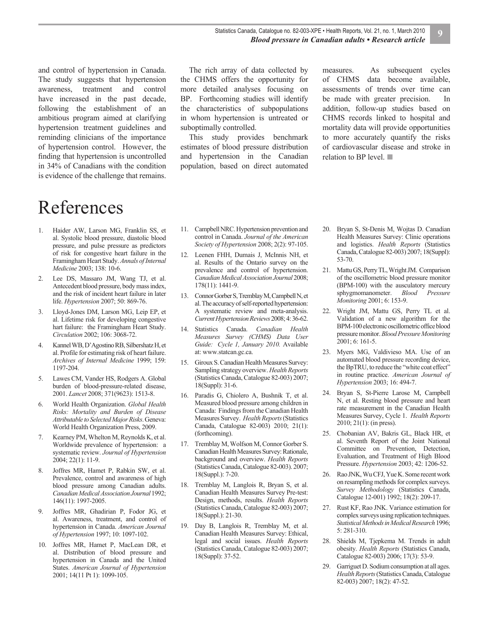and control of hypertension in Canada. The study suggests that hypertension awareness, treatment and control have increased in the past decade, following the establishment of an ambitious program aimed at clarifying hypertension treatment guidelines and reminding clinicians of the importance of hypertension control. However, the finding that hypertension is uncontrolled in 34% of Canadians with the condition is evidence of the challenge that remains.

# References

- 1. Haider AW, Larson MG, Franklin SS, et al. Systolic blood pressure, diastolic blood pressure, and pulse pressure as predictors of risk for congestive heart failure in the Framingham Heart Study. *Annals of Internal Medicine* 2003; 138: 10-6.
- 2. Lee DS, Massaro JM, Wang TJ, et al. Antecedent blood pressure, body mass index, and the risk of incident heart failure in later life. *Hypertension* 2007; 50: 869-76.
- 3. Lloyd-Jones DM, Larson MG, Leip EP, et al. Lifetime risk for developing congestive hart failure: the Framingham Heart Study. *Circulation* 2002; 106: 3068-72.
- 4. Kannel WB, D'Agostino RB, Silbershatz H, et al. Profile for estimating risk of heart failure. *Archives of Internal Medicine* 1999; 159: 1197-204.
- 5. Lawes CM, Vander HS, Rodgers A. Global burden of blood-pressure-related disease, 2001. *Lancet* 2008; 371(9623): 1513-8.
- 6. World Health Organization. *Global Health Risks: Mortality and Burden of Disease Attributable to Selected Major Risks*. Geneva: World Health Organization Press, 2009.
- 7. Kearney PM, Whelton M, Reynolds K, et al. Worldwide prevalence of hypertension: a systematic review. *Journal of Hypertension* 2004; 22(1): 11-9.
- 8. Joffres MR, Hamet P, Rabkin SW, et al. Prevalence, control and awareness of high blood pressure among Canadian adults. *Canadian Medical Association Journal* 1992; 146(11): 1997-2005.
- 9. Joffres MR, Ghadirian P, Fodor JG, et al. Awareness, treatment, and control of hypertension in Canada. *American Journal of Hypertension* 1997; 10: 1097-102.
- 10. Joffres MR, Hamet P, MacLean DR, et al. Distribution of blood pressure and hypertension in Canada and the United States. *American Journal of Hypertension* 2001; 14(11 Pt 1): 1099-105.

The rich array of data collected by the CHMS offers the opportunity for more detailed analyses focusing on BP. Forthcoming studies will identify the characteristics of subpopulations in whom hypertension is untreated or suboptimally controlled.

This study provides benchmark estimates of blood pressure distribution and hypertension in the Canadian population, based on direct automated

measures. As subsequent cycles of CHMS data become available, assessments of trends over time can be made with greater precision. In addition, follow-up studies based on CHMS records linked to hospital and mortality data will provide opportunities to more accurately quantify the risks of cardiovascular disease and stroke in relation to BP level. ■

- 11. Campbell NRC. Hypertension prevention and control in Canada. *Journal of the American Society of Hypertension* 2008; 2(2): 97-105.
- 12. Leenen FHH, Dumais J, McInnis NH, et al. Results of the Ontario survey on the prevalence and control of hypertension. *Canadian Medical Association Journal* 2008; 178(11): 1441-9.
- 13. Connor Gorber S, Tremblay M, Campbell N, et al. The accuracy of self-reported hypertension: A systematic review and meta-analysis. *Current Hypertension Reviews* 2008; 4: 36-62.
- 14. Statistics Canada. *Canadian Health Measures Survey (CHMS) Data User Guide: Cycle 1, January 2010.* Available at: www.statcan.gc.ca.
- 15. Giroux S. Canadian Health Measures Survey: Sampling strategy overview. *Health Reports*  (Statistics Canada, Catalogue 82-003) 2007; 18(Suppl): 31-6.
- 16. Paradis G, Chiolero A, Bushnik T, et al. Measured blood pressure among children in Canada: Findings from the Canadian Health Measures Survey. *Health Reports*(Statistics Canada, Catalogue 82-003) 2010; 21(1): (forthcoming).
- 17. Tremblay M, Wolfson M, Connor Gorber S. Canadian Health Measures Survey: Rationale, background and overview. *Health Reports*  (Statistics Canada, Catalogue 82-003). 2007; 18(Suppl.): 7-20.
- 18. Tremblay M, Langlois R, Bryan S, et al. Canadian Health Measures Survey Pre-test: Design, methods, results. *Health Reports*  (Statistics Canada, Catalogue 82-003) 2007; 18(Suppl.): 21-30.
- 19. Day B, Langlois R, Tremblay M, et al. Canadian Health Measures Survey: Ethical, legal and social issues. *Health Reports*  (Statistics Canada, Catalogue 82-003) 2007; 18(Suppl): 37-52.
- 20. Bryan S, St-Denis M, Wojtas D. Canadian Health Measures Survey: Clinic operations and logistics. *Health Reports* (Statistics Canada, Catalogue 82-003) 2007; 18(Suppl): 53-70.
- 21. Mattu GS, Perry TL, Wright JM. Comparison of the oscillometric blood pressure monitor (BPM-100) with the ausculatory mercury sphygmomanometer. *Blood Pressure Monitoring* 2001; 6: 153-9.
- 22. Wright JM, Mattu GS, Perry TL et al. Validation of a new algorithm for the BPM-100 electronic oscillometric office blood pressure monitor. *Blood Pressure Monitoring* 2001; 6: 161-5.
- 23. Myers MG, Valdivieso MA. Use of an automated blood pressure recording device, the BpTRU, to reduce the "white coat effect" in routine practice. *American Journal of Hypertension* 2003; 16: 494-7.
- 24. Bryan S, St-Pierre Larose M, Campbell N, et al. Resting blood pressure and heart rate measurement in the Canadian Health Measures Survey, Cycle 1. *Health Reports* 2010; 21(1): (in press).
- 25. Chobanian AV, Bakris GL, Black HR, et al. Seventh Report of the Joint National Committee on Prevention, Detection, Evaluation, and Treatment of High Blood Pressure. *Hypertension* 2003; 42: 1206-52.
- 26. Rao JNK, Wu CFJ, Yue K. Some recent work on resampling methods for complex surveys. *Survey Methodology* (Statistics Canada, Catalogue 12-001) 1992; 18(2): 209-17.
- 27. Rust KF, Rao JNK. Variance estimation for complex surveys using replication techniques. Statistical Methods in Medical Research 1996; 5: 281-310.
- 28. Shields M, Tjepkema M. Trends in adult obesity. *Health Reports* (Statistics Canada, Catalogue 82-003) 2006; 17(3): 53-9.
- 29. Garriguet D. Sodium consumption at all ages. *Health Reports*(Statistics Canada, Catalogue 82-003) 2007; 18(2): 47-52.